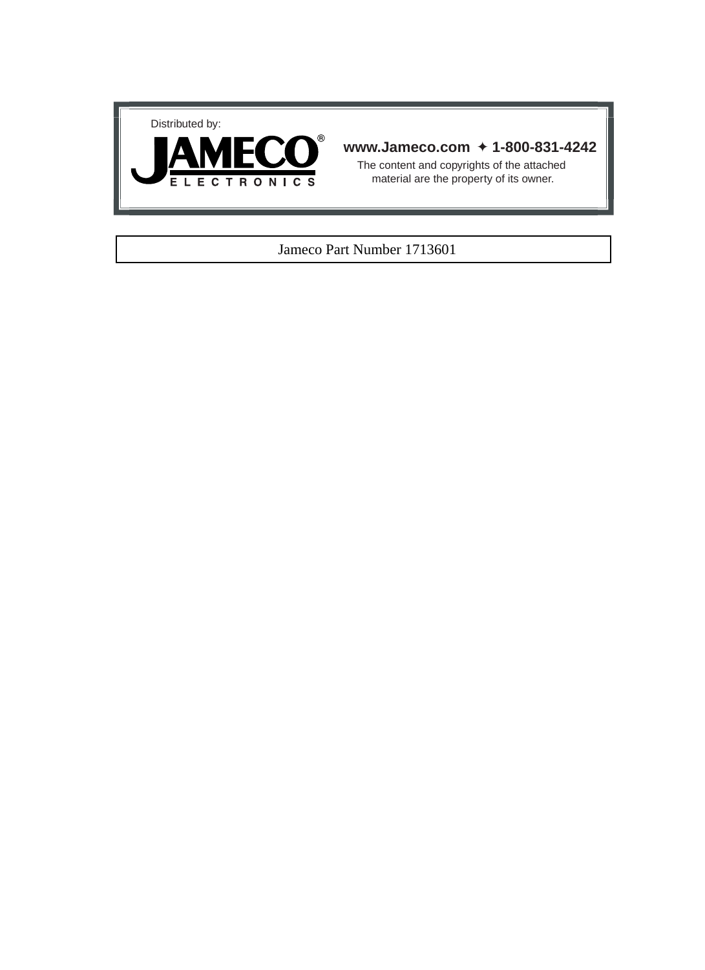



### **www.Jameco.com** ✦ **1-800-831-4242**

The content and copyrights of the attached material are the property of its owner.

### Jameco Part Number 1713601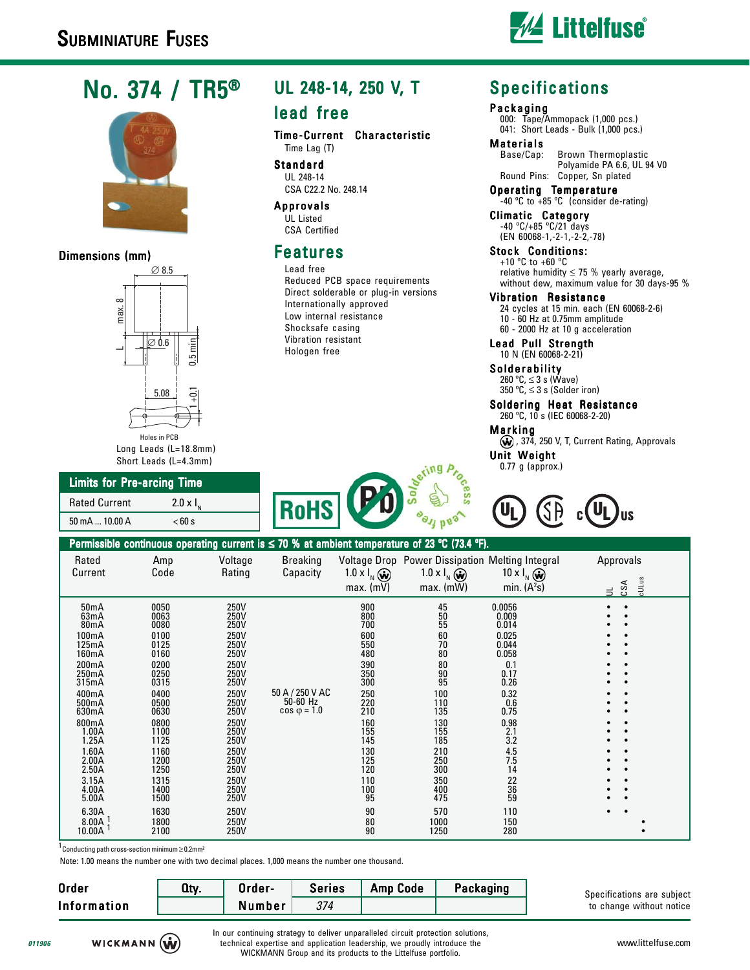

# No. 374 / TR5®



### Dimensions (mm)



### Long Leads (L=18.8mm) Short Leads (L=4.3mm)

## Limits for Pre-arcing Time

| <b>Rated Current</b> | 2.0 x $I_{N}$ |
|----------------------|---------------|
| 50 mA  10.00 A       | < 60 s        |

# UL 248-14, 250 V, T

### lead free

Time-Current Characteristic Time Lag (T)

Standard UL 248-14 CSA C22.2 No. 248.14

Approvals UL Listed CSA Certified

# Features

Lead free Reduced PCB space requirements Direct solderable or plug-in versions Internationally approved Low internal resistance Shocksafe casing Vibration resistant Hologen free

# Specifications

#### Packaging

000: Tape/Ammopack (1,000 pcs.) 041: Short Leads - Bulk (1,000 pcs.)

**Materials**<br>Base/Cap: Brown Thermoplastic Polyamide PA 6.6, UL 94 V0 Round Pins: Copper, Sn plated

Operating Temperature -40 ºC to +85 ºC (consider de-rating)

Climatic Category -40 ºC/+85 ºC/21 days (EN 60068-1,-2-1,-2-2,-78)

Stock Conditions: +10 ºC to +60 ºC relative humidity  $\leq$  75 % yearly average, without dew, maximum value for 30 days-95 %

### Vibration Resistance

24 cycles at 15 min. each (EN 60068-2-6) 10 - 60 Hz at 0.75mm amplitude 60 - 2000 Hz at 10 g acceleration

Lead Pull Strength 10 N (EN 60068-2-21)

Solderability 260 ºC, ≤ 3 s (Wave) 350 °C,  $\leq$  3 s (Solder iron)

Soldering Heat Resistance 260 ºC, 10 s (IEC 60068-2-20)

Marking

(w), 374, 250 V, T, Current Rating, Approvals Unit Weight

0.77 g (approx.)





| Permissible continuous operating current is $\leq$ 70 % at ambient temperature of 23 °C (73.4 °F).                                                                                                                                           |                                                                                                                                                                                              |                                                                                                                                                                                              |                                                       |                                                                                                                                                                  |                                                                                                                                                                                   |                                                                                                                                                                                    |                                            |  |
|----------------------------------------------------------------------------------------------------------------------------------------------------------------------------------------------------------------------------------------------|----------------------------------------------------------------------------------------------------------------------------------------------------------------------------------------------|----------------------------------------------------------------------------------------------------------------------------------------------------------------------------------------------|-------------------------------------------------------|------------------------------------------------------------------------------------------------------------------------------------------------------------------|-----------------------------------------------------------------------------------------------------------------------------------------------------------------------------------|------------------------------------------------------------------------------------------------------------------------------------------------------------------------------------|--------------------------------------------|--|
| Rated<br>Current                                                                                                                                                                                                                             | Amp<br>Code                                                                                                                                                                                  | Voltage<br>Rating                                                                                                                                                                            | <b>Breaking</b><br>Capacity                           | 1.0 x $I_{N}(\vec{\omega})$<br>$max.$ (mV)                                                                                                                       | 1.0 x $I_{N}(\vec{\omega})$<br>$max.$ (mW)                                                                                                                                        | Voltage Drop Power Dissipation Melting Integral<br>10 x $I_{N}$ $\omega$<br>min. $(A2s)$                                                                                           | Approvals<br>cULus<br>⋖<br>င္ယ<br>$\equiv$ |  |
| 50 <sub>m</sub> A<br>63mA<br>80 <sub>m</sub> A<br>100mA<br>125mA<br>160mA<br>200mA<br>250mA<br>315mA<br>400mA<br>500mA<br>630mA<br>800mA<br>1.00A<br>1.25A<br>1.60A<br>2.00A<br>2.50A<br>3.15A<br>4.00A<br>5.00A<br>6.30A<br>8.00A<br>10.00A | 0050<br>0063<br>0080<br>0100<br>0125<br>0160<br>0200<br>0250<br>0315<br>0400<br>0500<br>0630<br>0800<br>1100<br>1125<br>1160<br>1200<br>1250<br>1315<br>1400<br>1500<br>1630<br>1800<br>2100 | 250V<br>250V<br>250V<br>250V<br>250V<br>250V<br>250V<br>250V<br>250V<br>250V<br>250V<br>250V<br>250V<br>250V<br>250V<br>250V<br>250V<br>250V<br>250V<br>250V<br>250V<br>250V<br>250V<br>250V | 50 A / 250 V AC<br>$50-60$ Hz<br>$\cos \varphi = 1.0$ | 900<br>800<br>700<br>600<br>550<br>480<br>390<br>350<br>300<br>250<br>220<br>210<br>160<br>155<br>145<br>130<br>125<br>120<br>110<br>100<br>95<br>90<br>80<br>90 | $\substack{45 \\ 50}$<br>55<br>60<br>70<br>80<br>80<br>$\frac{90}{95}$<br>100<br>110<br>135<br>130<br>155<br>185<br>210<br>250<br>300<br>350<br>400<br>475<br>570<br>1000<br>1250 | 0.0056<br>0.009<br>0.014<br>0.025<br>0.044<br>0.058<br>0.1<br>0.17<br>0.26<br>0.32<br>0.6<br>0.75<br>0.98<br>2.1<br>3.2<br>4.5<br>7.5<br>14<br>22<br>36<br>59<br>110<br>150<br>280 |                                            |  |

1Conducting path cross-section minimum ≥ 0.2mm²

Note: 1.00 means the number one with two decimal places. 1,000 means the number one thousand.

| Order       | Qty. | Order- | <b>Series</b> | Amp Code | Packaging | Specifications are subject<br>to change without notice |
|-------------|------|--------|---------------|----------|-----------|--------------------------------------------------------|
| Information |      | Number |               |          |           |                                                        |

**011906**

In our continuing strategy to deliver unparalleled circuit protection solutions, technical expertise and application leadership, we proudly introduce the WICKMANN Group and its products to the Littelfuse portfolio.